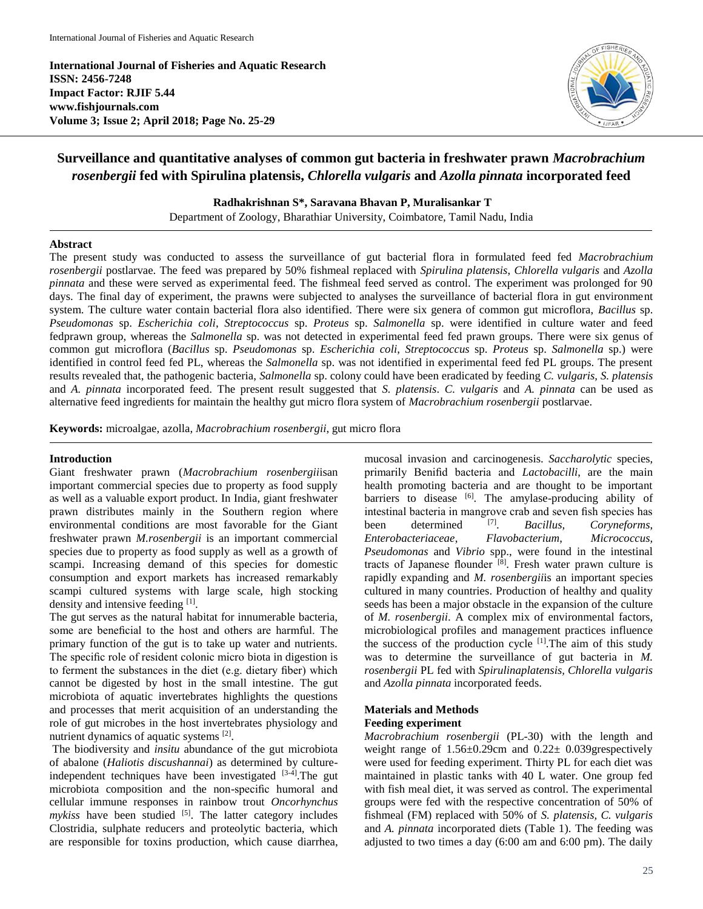**International Journal of Fisheries and Aquatic Research ISSN: 2456-7248 Impact Factor: RJIF 5.44 www.fishjournals.com Volume 3; Issue 2; April 2018; Page No. 25-29**



## **Surveillance and quantitative analyses of common gut bacteria in freshwater prawn** *Macrobrachium rosenbergii* **fed with Spirulina platensis,** *Chlorella vulgaris* **and** *Azolla pinnata* **incorporated feed**

**Radhakrishnan S\*, Saravana Bhavan P, Muralisankar T**

Department of Zoology, Bharathiar University, Coimbatore, Tamil Nadu, India

#### **Abstract**

The present study was conducted to assess the surveillance of gut bacterial flora in formulated feed fed *Macrobrachium rosenbergii* postlarvae. The feed was prepared by 50% fishmeal replaced with *Spirulina platensis*, *Chlorella vulgaris* and *Azolla pinnata* and these were served as experimental feed. The fishmeal feed served as control. The experiment was prolonged for 90 days. The final day of experiment, the prawns were subjected to analyses the surveillance of bacterial flora in gut environment system. The culture water contain bacterial flora also identified. There were six genera of common gut microflora, *Bacillus* sp. *Pseudomonas* sp. *Escherichia coli*, *Streptococcus* sp. *Proteus* sp. *Salmonella* sp. were identified in culture water and feed fedprawn group, whereas the *Salmonella* sp. was not detected in experimental feed fed prawn groups. There were six genus of common gut microflora (*Bacillus* sp. *Pseudomonas* sp. *Escherichia coli*, *Streptococcus* sp. *Proteus* sp. *Salmonella* sp.) were identified in control feed fed PL, whereas the *Salmonella* sp. was not identified in experimental feed fed PL groups. The present results revealed that, the pathogenic bacteria, *Salmonella* sp. colony could have been eradicated by feeding *C. vulgaris, S. platensis* and *A. pinnata* incorporated feed. The present result suggested that *S. platensis*. *C. vulgaris* and *A. pinnata* can be used as alternative feed ingredients for maintain the healthy gut micro flora system of *Macrobrachium rosenbergii* postlarvae.

**Keywords:** microalgae, azolla, *Macrobrachium rosenbergii*, gut micro flora

#### **Introduction**

Giant freshwater prawn (*Macrobrachium rosenbergii*isan important commercial species due to property as food supply as well as a valuable export product. In India, giant freshwater prawn distributes mainly in the Southern region where environmental conditions are most favorable for the Giant freshwater prawn *M.rosenbergii* is an important commercial species due to property as food supply as well as a growth of scampi. Increasing demand of this species for domestic consumption and export markets has increased remarkably scampi cultured systems with large scale, high stocking density and intensive feeding [1].

The gut serves as the natural habitat for innumerable bacteria, some are beneficial to the host and others are harmful. The primary function of the gut is to take up water and nutrients. The specific role of resident colonic micro biota in digestion is to ferment the substances in the diet (e.g. dietary fiber) which cannot be digested by host in the small intestine. The gut microbiota of aquatic invertebrates highlights the questions and processes that merit acquisition of an understanding the role of gut microbes in the host invertebrates physiology and nutrient dynamics of aquatic systems [2].

The biodiversity and *insitu* abundance of the gut microbiota of abalone (*Haliotis discushannai*) as determined by cultureindependent techniques have been investigated [3-4]. The gut microbiota composition and the non-specific humoral and cellular immune responses in rainbow trout *Oncorhynchus mykiss* have been studied <sup>[5]</sup>. The latter category includes Clostridia, sulphate reducers and proteolytic bacteria, which are responsible for toxins production, which cause diarrhea,

mucosal invasion and carcinogenesis. *Saccharolytic* species, primarily Benifid bacteria and *Lactobacilli*, are the main health promoting bacteria and are thought to be important barriers to disease [6]. The amylase-producing ability of intestinal bacteria in mangrove crab and seven fish species has been determined <sup>[7]</sup>. . *Bacillus, Coryneforms*, *Enterobacteriaceae*, *Flavobacterium*, *Micrococcus, Pseudomonas* and *Vibrio* spp., were found in the intestinal tracts of Japanese flounder  $^{[8]}$ . Fresh water prawn culture is rapidly expanding and *M. rosenbergii*is an important species cultured in many countries. Production of healthy and quality seeds has been a major obstacle in the expansion of the culture of *M. rosenbergii*. A complex mix of environmental factors, microbiological profiles and management practices influence the success of the production cycle  $[1]$ . The aim of this study was to determine the surveillance of gut bacteria in *M. rosenbergii* PL fed with *Spirulinaplatensis, Chlorella vulgaris* and *Azolla pinnata* incorporated feeds.

# **Materials and Methods**

### **Feeding experiment**

*Macrobrachium rosenbergii* (PL-30) with the length and weight range of 1.56±0.29cm and 0.22± 0.039grespectively were used for feeding experiment. Thirty PL for each diet was maintained in plastic tanks with 40 L water. One group fed with fish meal diet, it was served as control. The experimental groups were fed with the respective concentration of 50% of fishmeal (FM) replaced with 50% of *S. platensis, C. vulgaris* and *A. pinnata* incorporated diets (Table 1). The feeding was adjusted to two times a day (6:00 am and 6:00 pm). The daily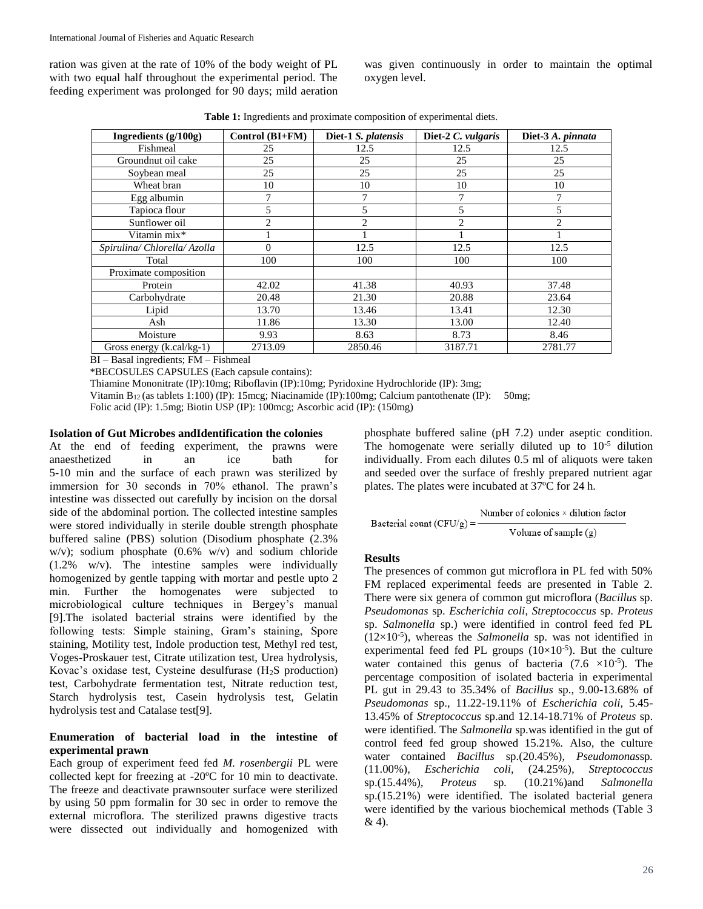ration was given at the rate of 10% of the body weight of PL with two equal half throughout the experimental period. The feeding experiment was prolonged for 90 days; mild aeration

was given continuously in order to maintain the optimal oxygen level.

**Table 1:** Ingredients and proximate composition of experimental diets.

| Ingredients $(g/100g)$       | Control (BI+FM) | Diet-1 S. platensis | Diet-2 C. vulgaris | Diet-3 A. pinnata                                                                                                                                                                                                                                                                                                                                                                                           |
|------------------------------|-----------------|---------------------|--------------------|-------------------------------------------------------------------------------------------------------------------------------------------------------------------------------------------------------------------------------------------------------------------------------------------------------------------------------------------------------------------------------------------------------------|
| Fishmeal                     | 25              | 12.5                | 12.5               | 12.5                                                                                                                                                                                                                                                                                                                                                                                                        |
| Groundnut oil cake           | 25              | 25                  | 25                 | 25                                                                                                                                                                                                                                                                                                                                                                                                          |
| Soybean meal                 | 25              | 25                  | 25                 | 25                                                                                                                                                                                                                                                                                                                                                                                                          |
| Wheat bran                   | 10              | 10                  | 10                 | 10                                                                                                                                                                                                                                                                                                                                                                                                          |
| Egg albumin                  | 7               | 7                   | 7                  | 7                                                                                                                                                                                                                                                                                                                                                                                                           |
| Tapioca flour                |                 | 5                   | 5                  |                                                                                                                                                                                                                                                                                                                                                                                                             |
| Sunflower oil                | 2               | 2                   | $\mathfrak{D}$     | $\mathfrak{D}_{1}^{(1)} = \mathfrak{D}_{2}^{(1)} = \mathfrak{D}_{2}^{(1)} = \mathfrak{D}_{2}^{(1)} = \mathfrak{D}_{2}^{(1)} = \mathfrak{D}_{2}^{(1)} = \mathfrak{D}_{2}^{(1)} = \mathfrak{D}_{2}^{(1)} = \mathfrak{D}_{2}^{(1)} = \mathfrak{D}_{2}^{(1)} = \mathfrak{D}_{2}^{(1)} = \mathfrak{D}_{2}^{(1)} = \mathfrak{D}_{2}^{(1)} = \mathfrak{D}_{2}^{(1)} = \mathfrak{D}_{2}^{(1)} = \mathfrak{D}_{2}^{$ |
| Vitamin mix*                 |                 |                     |                    |                                                                                                                                                                                                                                                                                                                                                                                                             |
| Spirulina/ Chlorella/ Azolla | $\Omega$        | 12.5                | 12.5               | 12.5                                                                                                                                                                                                                                                                                                                                                                                                        |
| Total                        | 100             | 100                 | 100                | 100                                                                                                                                                                                                                                                                                                                                                                                                         |
| Proximate composition        |                 |                     |                    |                                                                                                                                                                                                                                                                                                                                                                                                             |
| Protein                      | 42.02           | 41.38               | 40.93              | 37.48                                                                                                                                                                                                                                                                                                                                                                                                       |
| Carbohydrate                 | 20.48           | 21.30               | 20.88              | 23.64                                                                                                                                                                                                                                                                                                                                                                                                       |
| Lipid                        | 13.70           | 13.46               | 13.41              | 12.30                                                                                                                                                                                                                                                                                                                                                                                                       |
| Ash                          | 11.86           | 13.30               | 13.00              | 12.40                                                                                                                                                                                                                                                                                                                                                                                                       |
| Moisture                     | 9.93            | 8.63                | 8.73               | 8.46                                                                                                                                                                                                                                                                                                                                                                                                        |
| Gross energy $(k, cal/kg-1)$ | 2713.09         | 2850.46             | 3187.71            | 2781.77                                                                                                                                                                                                                                                                                                                                                                                                     |

BI – Basal ingredients; FM – Fishmeal

\*BECOSULES CAPSULES (Each capsule contains):

Thiamine Mononitrate (IP):10mg; Riboflavin (IP):10mg; Pyridoxine Hydrochloride (IP): 3mg;

Vitamin B12 (as tablets 1:100) (IP): 15mcg; Niacinamide (IP):100mg; Calcium pantothenate (IP): 50mg;

Folic acid (IP): 1.5mg; Biotin USP (IP): 100mcg; Ascorbic acid (IP): (150mg)

#### **Isolation of Gut Microbes andIdentification the colonies**

At the end of feeding experiment, the prawns were anaesthetized in an ice bath for 5-10 min and the surface of each prawn was sterilized by immersion for 30 seconds in 70% ethanol. The prawn's intestine was dissected out carefully by incision on the dorsal side of the abdominal portion. The collected intestine samples were stored individually in sterile double strength phosphate buffered saline (PBS) solution (Disodium phosphate (2.3% w/v); sodium phosphate  $(0.6\% \text{ w/v})$  and sodium chloride (1.2% w/v). The intestine samples were individually homogenized by gentle tapping with mortar and pestle upto 2 min. Further the homogenates were subjected to microbiological culture techniques in Bergey's manual [9].The isolated bacterial strains were identified by the following tests: Simple staining, Gram's staining, Spore staining, Motility test, Indole production test, Methyl red test, Voges-Proskauer test, Citrate utilization test, Urea hydrolysis, Kovac's oxidase test, Cysteine desulfurase  $(H_2S)$  production) test, Carbohydrate fermentation test, Nitrate reduction test, Starch hydrolysis test, Casein hydrolysis test, Gelatin hydrolysis test and Catalase test[9].

#### **Enumeration of bacterial load in the intestine of experimental prawn**

Each group of experiment feed fed *M. rosenbergii* PL were collected kept for freezing at -20ºC for 10 min to deactivate. The freeze and deactivate prawnsouter surface were sterilized by using 50 ppm formalin for 30 sec in order to remove the external microflora. The sterilized prawns digestive tracts were dissected out individually and homogenized with phosphate buffered saline (pH 7.2) under aseptic condition. The homogenate were serially diluted up to  $10^{-5}$  dilution individually. From each dilutes 0.5 ml of aliquots were taken and seeded over the surface of freshly prepared nutrient agar plates. The plates were incubated at 37ºC for 24 h.

$$
Bacterial count (CFU/g) = \frac{Number of colonies \times dilution factor}{Volume of sample (g)}
$$

#### **Results**

The presences of common gut microflora in PL fed with 50% FM replaced experimental feeds are presented in Table 2. There were six genera of common gut microflora (*Bacillus* sp. *Pseudomonas* sp. *Escherichia coli*, *Streptococcus* sp. *Proteus* sp. *Salmonella* sp.) were identified in control feed fed PL  $(12\times10^{-5})$ , whereas the *Salmonella* sp. was not identified in experimental feed fed PL groups  $(10\times10^{-5})$ . But the culture water contained this genus of bacteria  $(7.6 \times 10^{-5})$ . The percentage composition of isolated bacteria in experimental PL gut in 29.43 to 35.34% of *Bacillus* sp., 9.00-13.68% of *Pseudomonas* sp., 11.22-19.11% of *Escherichia coli,* 5.45- 13.45% of *Streptococcus* sp.and 12.14-18.71% of *Proteus* sp. were identified. The *Salmonella* sp.was identified in the gut of control feed fed group showed 15.21%. Also, the culture water contained *Bacillus* sp.(20.45%)*, Pseudomonas*sp*.*  (11.00%)*, Escherichia coli,* (24.25%)*, Streptococcus*  sp.(15.44%)*, Proteus* sp*.* (10.21%)and *Salmonella*  sp.(15.21%) were identified. The isolated bacterial genera were identified by the various biochemical methods (Table 3 & 4).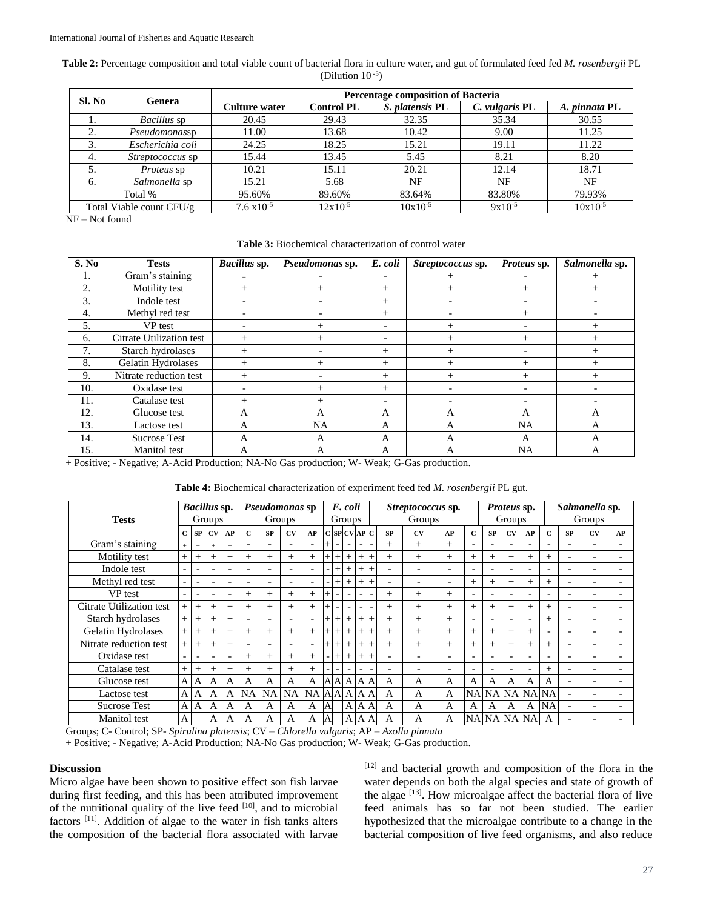**Table 2:** Percentage composition and total viable count of bacterial flora in culture water, and gut of formulated feed fed *M. rosenbergii* PL (Dilution  $10^{-5}$ )

| Sl. No                   | Genera                  | <b>Percentage composition of Bacteria</b> |                   |                 |                |               |  |  |  |  |  |  |  |  |
|--------------------------|-------------------------|-------------------------------------------|-------------------|-----------------|----------------|---------------|--|--|--|--|--|--|--|--|
|                          |                         | <b>Culture water</b>                      | <b>Control PL</b> | S. platensis PL | C. vulgaris PL | A. pinnata PL |  |  |  |  |  |  |  |  |
| 1.                       | <i>Bacillus</i> sp      | 20.45                                     | 29.43             | 32.35           | 35.34          | 30.55         |  |  |  |  |  |  |  |  |
| 2.                       | Pseudomonassp           | 11.00                                     | 13.68             | 10.42           | 9.00           | 11.25         |  |  |  |  |  |  |  |  |
| 3.                       | Escherichia coli        | 24.25                                     | 18.25             | 15.21           | 19.11          | 11.22         |  |  |  |  |  |  |  |  |
| 4.                       | <i>Streptococcus</i> sp | 15.44                                     | 13.45             | 5.45            | 8.21           | 8.20          |  |  |  |  |  |  |  |  |
| 5.                       | <i>Proteus</i> sp       | 10.21                                     | 15.11             | 20.21           | 12.14          | 18.71         |  |  |  |  |  |  |  |  |
| -6.                      | Salmonella sp           | 15.21                                     | 5.68              | NF              | NF             | NF            |  |  |  |  |  |  |  |  |
| Total %                  |                         | 95.60%                                    | 89.60%            | 83.64%          | 83.80%         | 79.93%        |  |  |  |  |  |  |  |  |
| Total Viable count CFU/g |                         | $7.6 \times 10^{-5}$                      | $12x10^{-5}$      | $10x10^{-5}$    | $9x10^{-5}$    | $10x10^{-5}$  |  |  |  |  |  |  |  |  |

NF – Not found

#### **Table 3:** Biochemical characterization of control water

| S. No | <b>Tests</b>             | Bacillus sp.             | Pseudomonas sp. | E. coli                  | Streptococcus sp. | Proteus sp.              | Salmonella sp. |
|-------|--------------------------|--------------------------|-----------------|--------------------------|-------------------|--------------------------|----------------|
| 1.    | Gram's staining          |                          |                 |                          |                   |                          |                |
| 2.    | Motility test            | $^{+}$                   | $^{+}$          | $^{+}$                   | $^{+}$            | $^{+}$                   | $^{+}$         |
| 3.    | Indole test              |                          |                 | $^{+}$                   | -                 | $\overline{\phantom{0}}$ |                |
| 4.    | Methyl red test          |                          |                 | $^{+}$                   |                   | $^{+}$                   |                |
| 5.    | VP test                  | $\overline{\phantom{0}}$ | $^{+}$          | -                        | $^{+}$            | $\overline{\phantom{a}}$ | $^{+}$         |
| 6.    | Citrate Utilization test | $^{+}$                   | $^{+}$          | -                        | $^{+}$            | $^{+}$                   | $^{+}$         |
| 7.    | Starch hydrolases        | $^{+}$                   |                 | $^{+}$                   | $^{+}$            |                          | $^{+}$         |
| 8.    | Gelatin Hydrolases       | $^{+}$                   | $^{+}$          | $^{+}$                   | $^{+}$            | $^{+}$                   | $^{+}$         |
| 9.    | Nitrate reduction test   | $^{+}$                   |                 | $^{+}$                   | $^{+}$            | $^{+}$                   | $^{+}$         |
| 10.   | Oxidase test             |                          | $^{+}$          | $^{+}$                   |                   |                          |                |
| 11.   | Catalase test            | $^{+}$                   | $^{+}$          | $\overline{\phantom{0}}$ |                   |                          |                |
| 12.   | Glucose test             | A                        | A               | A                        | A                 | A                        | A              |
| 13.   | Lactose test             | A                        | <b>NA</b>       | A                        | А                 | <b>NA</b>                | A              |
| 14.   | <b>Sucrose Test</b>      | А                        | A               | A                        | A                 | A                        | A              |
| 15.   | Manitol test             | A                        | $\mathsf{A}$    | A                        | A                 | <b>NA</b>                | A              |

+ Positive; - Negative; A-Acid Production; NA-No Gas production; W- Weak; G-Gas production.

#### **Table 4:** Biochemical characterization of experiment feed fed *M. rosenbergii* PL gut.

| <b>Tests</b>             |                          | Bacillus sp.<br>Pseudomonas sp |                          |                          |              |                          |                          |                          | E. coli        |        |                          |                          |  | Streptococcus sp.        |                          |                          |                          |                          | Proteus sp.              |                          |                          | Salmonella sp.           |                          |    |  |
|--------------------------|--------------------------|--------------------------------|--------------------------|--------------------------|--------------|--------------------------|--------------------------|--------------------------|----------------|--------|--------------------------|--------------------------|--|--------------------------|--------------------------|--------------------------|--------------------------|--------------------------|--------------------------|--------------------------|--------------------------|--------------------------|--------------------------|----|--|
|                          |                          | Groups                         |                          |                          |              | Groups                   |                          |                          |                | Groups |                          |                          |  | Groups                   |                          |                          |                          |                          | Groups                   |                          |                          | Groups                   |                          |    |  |
|                          |                          | SP                             | <b>CV</b>                | AP                       | $\mathbf{C}$ | SP                       | <b>CV</b>                | AP                       |                |        | C SP CV AP C             |                          |  | <b>SP</b>                | CV                       | AP                       | $\mathbf{C}$             | <b>SP</b>                | <b>CV</b>                | AP                       | C                        | <b>SP</b>                | CV                       | AP |  |
| Gram's staining          | $+$                      |                                | $+$                      | $+$                      |              |                          | $\overline{\phantom{0}}$ | $\overline{\phantom{0}}$ |                |        |                          | $\overline{\phantom{a}}$ |  | $^{+}$                   | $^{+}$                   | $^{+}$                   | $\overline{\phantom{0}}$ | $\overline{\phantom{0}}$ | ۰                        | $\overline{\phantom{a}}$ |                          | $\overline{\phantom{0}}$ |                          |    |  |
| Motility test            | $+$                      | $^{+}$                         | $^{+}$                   | $^{+}$                   | $^{+}$       | $^{+}$                   | $^{+}$                   | $+$                      |                | $^+$   | +                        |                          |  | $+$                      | $^{+}$                   | $^{+}$                   | $^{+}$                   | $^{+}$                   | $^{+}$                   | $^{+}$                   | $^{+}$                   | $\overline{\phantom{0}}$ |                          |    |  |
| Indole test              | $\overline{\phantom{a}}$ |                                | $\overline{\phantom{a}}$ | $\overline{\phantom{0}}$ |              |                          | $\overline{\phantom{0}}$ | $\overline{\phantom{a}}$ |                | $^{+}$ |                          |                          |  | $\overline{\phantom{a}}$ | ٠                        | $\overline{\phantom{0}}$ | $\overline{\phantom{a}}$ | $\overline{\phantom{0}}$ |                          |                          |                          | $\overline{\phantom{0}}$ |                          |    |  |
| Methyl red test          | $\overline{\phantom{0}}$ | $\overline{\phantom{0}}$       | $\overline{\phantom{0}}$ | $\overline{\phantom{0}}$ |              | $\overline{\phantom{0}}$ | $\overline{\phantom{0}}$ | $\overline{\phantom{0}}$ |                | $^{+}$ |                          |                          |  | $\overline{\phantom{0}}$ | $\overline{\phantom{0}}$ | $\overline{\phantom{0}}$ | $^{+}$                   | $^{+}$                   | $^{+}$                   | $^{+}$                   | $^{+}$                   | $\overline{\phantom{0}}$ |                          |    |  |
| VP test                  | $\overline{\phantom{0}}$ |                                | $\overline{\phantom{a}}$ | ٠                        | $+$          | $^{+}$                   | $^{+}$                   | $+$                      |                |        |                          |                          |  | $^{+}$                   | $^{+}$                   | $^{+}$                   | $\overline{\phantom{a}}$ | $\overline{\phantom{0}}$ |                          | ۳                        |                          | $\overline{\phantom{0}}$ |                          |    |  |
| Citrate Utilization test | $+$                      | $^{+}$                         | $^{+}$                   | $^{+}$                   | $^{+}$       | $^{+}$                   | $^{+}$                   | $^{+}$                   |                |        |                          | $\overline{\phantom{0}}$ |  | $^{+}$                   | $^{+}$                   | $^{+}$                   | $^{+}$                   | $^{+}$                   | $^{+}$                   | $+$                      | $^{+}$                   | $\overline{\phantom{0}}$ |                          |    |  |
| Starch hydrolases        | $+$                      | $^{+}$                         | $^{+}$                   | $^{+}$                   |              |                          |                          | $\overline{\phantom{0}}$ | $^{+}$         | $^{+}$ | $^{+}$                   |                          |  | $^{+}$                   | $^{+}$                   | $^{+}$                   | $\overline{\phantom{0}}$ | $\overline{\phantom{0}}$ |                          | ۳                        | $^{+}$                   | $\overline{\phantom{0}}$ |                          |    |  |
| Gelatin Hydrolases       | $+$                      | $^{+}$                         | $^{+}$                   | $^{+}$                   | $+$          | $^{+}$                   | $^{+}$                   | $+$                      | $^{+}$         | $^{+}$ | $^{+}$                   |                          |  | $^{+}$                   | $^{+}$                   | $^{+}$                   | $^{+}$                   | $^{+}$                   | $^{+}$                   | $+$                      | $\overline{\phantom{a}}$ | $\overline{\phantom{0}}$ |                          |    |  |
| Nitrate reduction test   | $+$                      | $^{+}$                         | $+$                      | $^{+}$                   |              |                          |                          | $\overline{\phantom{a}}$ | $+$            | $^{+}$ | $^+$                     |                          |  | $^{+}$                   | $^{+}$                   | $^{+}$                   | $^{+}$                   | $^{+}$                   | $^{+}$                   | $^{+}$                   | $^{+}$                   | $\overline{\phantom{0}}$ |                          |    |  |
| Oxidase test             | $\overline{\phantom{a}}$ | ٠                              | $\overline{\phantom{a}}$ | ۰                        | $^{+}$       | $^{+}$                   | $^{+}$                   | $+$                      |                | $^{+}$ | $^{+}$                   |                          |  | $\overline{\phantom{a}}$ | $\overline{\phantom{0}}$ | $\overline{\phantom{0}}$ | $\overline{\phantom{0}}$ | $\overline{\phantom{a}}$ | $\overline{\phantom{0}}$ |                          |                          | $\overline{\phantom{0}}$ |                          |    |  |
| Catalase test            | $+$                      | $^{+}$                         | $+$                      | $^{+}$                   | $^{+}$       | $^{+}$                   | $^{+}$                   | $^{+}$                   |                |        | $\overline{\phantom{a}}$ | $\overline{\phantom{0}}$ |  | $\overline{\phantom{a}}$ | $\overline{\phantom{0}}$ | $\overline{\phantom{0}}$ | $\overline{\phantom{0}}$ | $\overline{\phantom{a}}$ | $\overline{\phantom{0}}$ | $\overline{\phantom{a}}$ | $^{+}$                   | $\overline{\phantom{0}}$ | $\overline{\phantom{0}}$ |    |  |
| Glucose test             | A                        | A                              | A                        | A                        | A            | A                        | A                        | A                        |                |        | A A A A A                |                          |  | A                        | A                        | $\overline{A}$           | A                        | A                        | А                        | A                        | A                        | $\overline{\phantom{0}}$ |                          |    |  |
| Lactose test             | $\mathbf{A}$             | A                              | A                        | A                        | <b>NA</b>    | NA                       | <b>NA</b>                | <b>NA</b>                |                |        | $A$ $A$ $A$ $A$          |                          |  | A                        | A                        | $\overline{A}$           |                          |                          | NA NA NA NA NA           |                          |                          | $\overline{\phantom{0}}$ |                          |    |  |
| <b>Sucrose Test</b>      | A                        | A                              | A                        | A                        | А            | A                        | А                        | A                        | $\mathbf{A}$   |        |                          | A A A                    |  | A                        | A                        | $\overline{A}$           | А                        | A                        | A                        | A                        | NA                       | $\overline{\phantom{0}}$ |                          |    |  |
| Manitol test             | $\mathbf{A}$             |                                | A                        | A                        | А            | A                        | А                        | A                        | $\overline{A}$ |        |                          | $A$ $A$                  |  | A                        | A                        | $\overline{A}$           |                          |                          | <b>NA NA NA NA</b>       |                          | A                        |                          |                          |    |  |

Groups; C- Control; SP- *Spirulina platensis*; CV – *Chlorella vulgaris*; AP – *Azolla pinnata*

+ Positive; - Negative; A-Acid Production; NA-No Gas production; W- Weak; G-Gas production.

#### **Discussion**

Micro algae have been shown to positive effect son fish larvae during first feeding, and this has been attributed improvement of the nutritional quality of the live feed  $[10]$ , and to microbial factors [11]. Addition of algae to the water in fish tanks alters the composition of the bacterial flora associated with larvae

[12] and bacterial growth and composition of the flora in the water depends on both the algal species and state of growth of the algae <sup>[13]</sup>. How microalgae affect the bacterial flora of live feed animals has so far not been studied. The earlier hypothesized that the microalgae contribute to a change in the bacterial composition of live feed organisms, and also reduce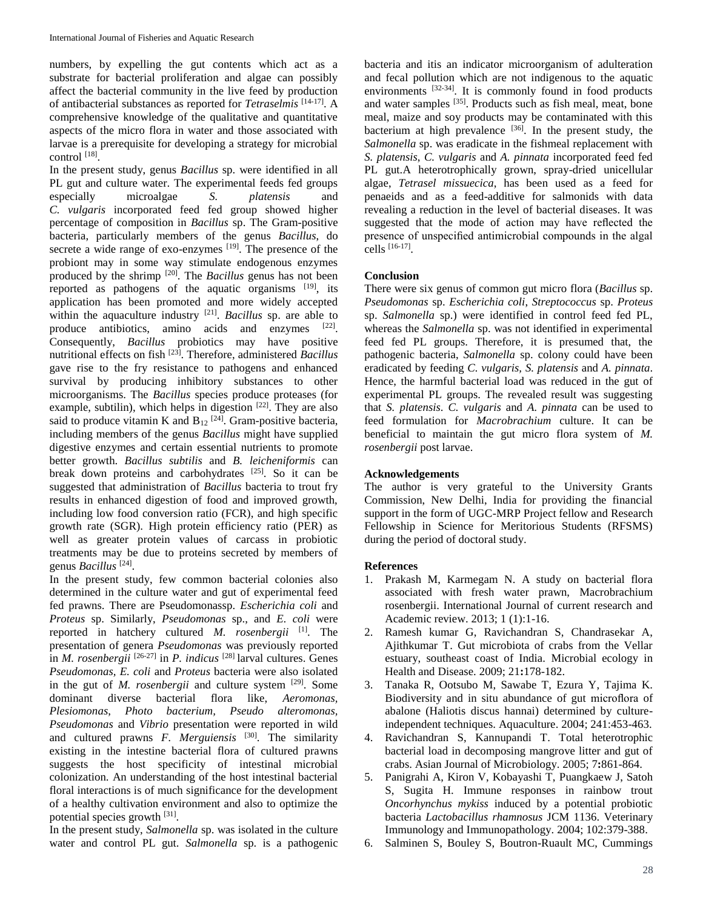numbers, by expelling the gut contents which act as a substrate for bacterial proliferation and algae can possibly affect the bacterial community in the live feed by production of antibacterial substances as reported for *Tetraselmis* [14-17]. A comprehensive knowledge of the qualitative and quantitative aspects of the micro flora in water and those associated with larvae is a prerequisite for developing a strategy for microbial control  $^{[18]}$ .

In the present study, genus *Bacillus* sp. were identified in all PL gut and culture water. The experimental feeds fed groups especially microalgae *S. platensis* and *C. vulgaris* incorporated feed fed group showed higher percentage of composition in *Bacillus* sp. The Gram-positive bacteria, particularly members of the genus *Bacillus*, do secrete a wide range of exo-enzymes  $[19]$ . The presence of the probiont may in some way stimulate endogenous enzymes produced by the shrimp [20]. The *Bacillus* genus has not been reported as pathogens of the aquatic organisms [19], its application has been promoted and more widely accepted within the aquaculture industry <sup>[21]</sup>. *Bacillus* sp. are able to produce antibiotics, amino acids and enzymes [22]. Consequently, *Bacillus* probiotics may have positive nutritional effects on fish [23]. Therefore, administered *Bacillus* gave rise to the fry resistance to pathogens and enhanced survival by producing inhibitory substances to other microorganisms. The *Bacillus* species produce proteases (for example, subtilin), which helps in digestion [22]. They are also said to produce vitamin K and  $B_{12}$  [24]. Gram-positive bacteria, including members of the genus *Bacillus* might have supplied digestive enzymes and certain essential nutrients to promote better growth. *Bacillus subtilis* and *B. leicheniformis* can break down proteins and carbohydrates [25]. So it can be suggested that administration of *Bacillus* bacteria to trout fry results in enhanced digestion of food and improved growth, including low food conversion ratio (FCR), and high specific growth rate (SGR). High protein efficiency ratio (PER) as well as greater protein values of carcass in probiotic treatments may be due to proteins secreted by members of genus *Bacillus* [24] .

In the present study, few common bacterial colonies also determined in the culture water and gut of experimental feed fed prawns. There are Pseudomonassp. *Escherichia coli* and *Proteus* sp. Similarly, *Pseudomonas* sp., and *E. coli* were reported in hatchery cultured *M. rosenbergii* [1] . The presentation of genera *Pseudomonas* was previously reported in *M. rosenbergii* [26-27] in *P. indicus* [28] larval cultures. Genes *Pseudomonas, E. coli* and *Proteus* bacteria were also isolated in the gut of *M. rosenbergii* and culture system [29]. Some dominant diverse bacterial flora like, *Aeromonas, Plesiomonas*, *Photo bacterium, Pseudo alteromonas, Pseudomonas* and *Vibrio* presentation were reported in wild and cultured prawns *F. Merguiensis* [30]. The similarity existing in the intestine bacterial flora of cultured prawns suggests the host specificity of intestinal microbial colonization. An understanding of the host intestinal bacterial floral interactions is of much significance for the development of a healthy cultivation environment and also to optimize the potential species growth [31].

In the present study, *Salmonella* sp. was isolated in the culture water and control PL gut. *Salmonella* sp. is a pathogenic bacteria and itis an indicator microorganism of adulteration and fecal pollution which are not indigenous to the aquatic environments  $^{[32-34]}$ . It is commonly found in food products and water samples  $^{[35]}$ . Products such as fish meal, meat, bone meal, maize and soy products may be contaminated with this  $b$ acterium at high prevalence  $[36]$ . In the present study, the *Salmonella* sp. was eradicate in the fishmeal replacement with *S. platensis*, *C. vulgaris* and *A. pinnata* incorporated feed fed PL gut.A heterotrophically grown, spray-dried unicellular algae, *Tetrasel missuecica*, has been used as a feed for penaeids and as a feed-additive for salmonids with data revealing a reduction in the level of bacterial diseases. It was suggested that the mode of action may have reflected the presence of unspecified antimicrobial compounds in the algal cells [16-17] .

#### **Conclusion**

There were six genus of common gut micro flora (*Bacillus* sp. *Pseudomonas* sp. *Escherichia coli*, *Streptococcus* sp. *Proteus* sp. *Salmonella* sp.) were identified in control feed fed PL, whereas the *Salmonella* sp. was not identified in experimental feed fed PL groups. Therefore, it is presumed that, the pathogenic bacteria, *Salmonella* sp. colony could have been eradicated by feeding *C. vulgaris, S. platensis* and *A. pinnata*. Hence, the harmful bacterial load was reduced in the gut of experimental PL groups. The revealed result was suggesting that *S. platensis*. *C. vulgaris* and *A. pinnata* can be used to feed formulation for *Macrobrachium* culture. It can be beneficial to maintain the gut micro flora system of *M. rosenbergii* post larvae.

#### **Acknowledgements**

The author is very grateful to the University Grants Commission, New Delhi, India for providing the financial support in the form of UGC-MRP Project fellow and Research Fellowship in Science for Meritorious Students (RFSMS) during the period of doctoral study.

#### **References**

- 1. Prakash M, Karmegam N. A study on bacterial flora associated with fresh water prawn, Macrobrachium rosenbergii. International Journal of current research and Academic review. 2013; 1 (1):1-16.
- 2. Ramesh kumar G, Ravichandran S, Chandrasekar A, Ajithkumar T. Gut microbiota of crabs from the Vellar estuary, southeast coast of India. Microbial ecology in Health and Disease. 2009; 21**:**178-182.
- 3. Tanaka R, Ootsubo M, Sawabe T, Ezura Y, Tajima K. Biodiversity and in situ abundance of gut microflora of abalone (Haliotis discus hannai) determined by cultureindependent techniques. Aquaculture. 2004; 241:453-463.
- 4. Ravichandran S, Kannupandi T. Total heterotrophic bacterial load in decomposing mangrove litter and gut of crabs. Asian Journal of Microbiology. 2005; 7**:**861-864.
- 5. Panigrahi A, Kiron V, Kobayashi T, Puangkaew J, Satoh S, Sugita H. Immune responses in rainbow trout *Oncorhynchus mykiss* induced by a potential probiotic bacteria *Lactobacillus rhamnosus* JCM 1136. Veterinary Immunology and Immunopathology. 2004; 102:379-388.
- 6. Salminen S, Bouley S, Boutron-Ruault MC, Cummings